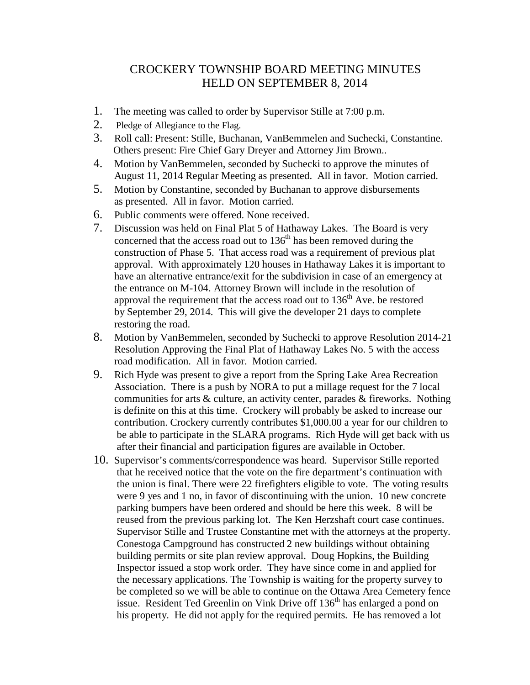## CROCKERY TOWNSHIP BOARD MEETING MINUTES HELD ON SEPTEMBER 8, 2014

- 1. The meeting was called to order by Supervisor Stille at 7:00 p.m.
- 2. Pledge of Allegiance to the Flag.
- 3. Roll call: Present: Stille, Buchanan, VanBemmelen and Suchecki, Constantine. Others present: Fire Chief Gary Dreyer and Attorney Jim Brown..
- 4. Motion by VanBemmelen, seconded by Suchecki to approve the minutes of August 11, 2014 Regular Meeting as presented. All in favor. Motion carried.
- 5. Motion by Constantine, seconded by Buchanan to approve disbursements as presented. All in favor. Motion carried.
- 6. Public comments were offered. None received.
- 7. Discussion was held on Final Plat 5 of Hathaway Lakes. The Board is very concerned that the access road out to  $136<sup>th</sup>$  has been removed during the construction of Phase 5. That access road was a requirement of previous plat approval. With approximately 120 houses in Hathaway Lakes it is important to have an alternative entrance/exit for the subdivision in case of an emergency at the entrance on M-104. Attorney Brown will include in the resolution of approval the requirement that the access road out to  $136<sup>th</sup>$  Ave. be restored by September 29, 2014. This will give the developer 21 days to complete restoring the road.
- 8. Motion by VanBemmelen, seconded by Suchecki to approve Resolution 2014-21 Resolution Approving the Final Plat of Hathaway Lakes No. 5 with the access road modification. All in favor. Motion carried.
- 9. Rich Hyde was present to give a report from the Spring Lake Area Recreation Association. There is a push by NORA to put a millage request for the 7 local communities for arts & culture, an activity center, parades & fireworks. Nothing is definite on this at this time. Crockery will probably be asked to increase our contribution. Crockery currently contributes \$1,000.00 a year for our children to be able to participate in the SLARA programs. Rich Hyde will get back with us after their financial and participation figures are available in October.
- 10. Supervisor's comments/correspondence was heard. Supervisor Stille reported that he received notice that the vote on the fire department's continuation with the union is final. There were 22 firefighters eligible to vote. The voting results were 9 yes and 1 no, in favor of discontinuing with the union. 10 new concrete parking bumpers have been ordered and should be here this week. 8 will be reused from the previous parking lot. The Ken Herzshaft court case continues. Supervisor Stille and Trustee Constantine met with the attorneys at the property. Conestoga Campground has constructed 2 new buildings without obtaining building permits or site plan review approval. Doug Hopkins, the Building Inspector issued a stop work order. They have since come in and applied for the necessary applications. The Township is waiting for the property survey to be completed so we will be able to continue on the Ottawa Area Cemetery fence issue. Resident Ted Greenlin on Vink Drive off 136<sup>th</sup> has enlarged a pond on his property. He did not apply for the required permits. He has removed a lot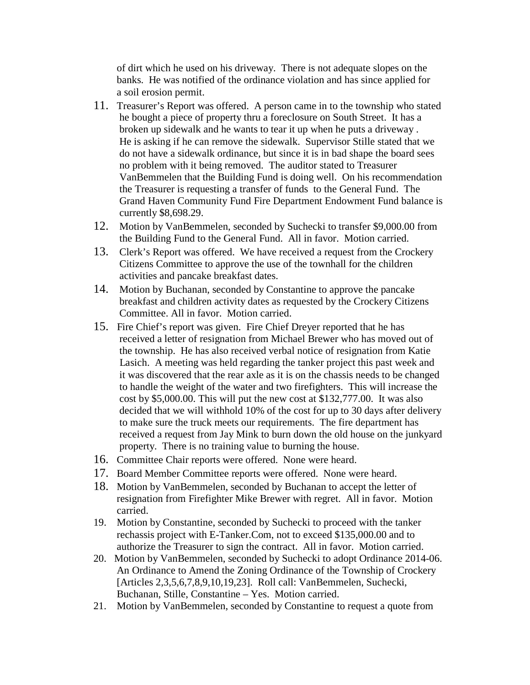of dirt which he used on his driveway. There is not adequate slopes on the banks. He was notified of the ordinance violation and has since applied for a soil erosion permit.

- 11. Treasurer's Report was offered. A person came in to the township who stated he bought a piece of property thru a foreclosure on South Street. It has a broken up sidewalk and he wants to tear it up when he puts a driveway . He is asking if he can remove the sidewalk. Supervisor Stille stated that we do not have a sidewalk ordinance, but since it is in bad shape the board sees no problem with it being removed. The auditor stated to Treasurer VanBemmelen that the Building Fund is doing well. On his recommendation the Treasurer is requesting a transfer of funds to the General Fund. The Grand Haven Community Fund Fire Department Endowment Fund balance is currently \$8,698.29.
- 12. Motion by VanBemmelen, seconded by Suchecki to transfer \$9,000.00 from the Building Fund to the General Fund. All in favor. Motion carried.
- 13. Clerk's Report was offered. We have received a request from the Crockery Citizens Committee to approve the use of the townhall for the children activities and pancake breakfast dates.
- 14. Motion by Buchanan, seconded by Constantine to approve the pancake breakfast and children activity dates as requested by the Crockery Citizens Committee. All in favor. Motion carried.
- 15. Fire Chief's report was given. Fire Chief Dreyer reported that he has received a letter of resignation from Michael Brewer who has moved out of the township. He has also received verbal notice of resignation from Katie Lasich. A meeting was held regarding the tanker project this past week and it was discovered that the rear axle as it is on the chassis needs to be changed to handle the weight of the water and two firefighters. This will increase the cost by \$5,000.00. This will put the new cost at \$132,777.00. It was also decided that we will withhold 10% of the cost for up to 30 days after delivery to make sure the truck meets our requirements. The fire department has received a request from Jay Mink to burn down the old house on the junkyard property. There is no training value to burning the house.
- 16. Committee Chair reports were offered. None were heard.
- 17. Board Member Committee reports were offered. None were heard.
- 18. Motion by VanBemmelen, seconded by Buchanan to accept the letter of resignation from Firefighter Mike Brewer with regret. All in favor. Motion carried.
- 19. Motion by Constantine, seconded by Suchecki to proceed with the tanker rechassis project with E-Tanker.Com, not to exceed \$135,000.00 and to authorize the Treasurer to sign the contract. All in favor. Motion carried.
- 20. Motion by VanBemmelen, seconded by Suchecki to adopt Ordinance 2014-06. An Ordinance to Amend the Zoning Ordinance of the Township of Crockery [Articles 2,3,5,6,7,8,9,10,19,23]. Roll call: VanBemmelen, Suchecki, Buchanan, Stille, Constantine – Yes. Motion carried.
- 21. Motion by VanBemmelen, seconded by Constantine to request a quote from